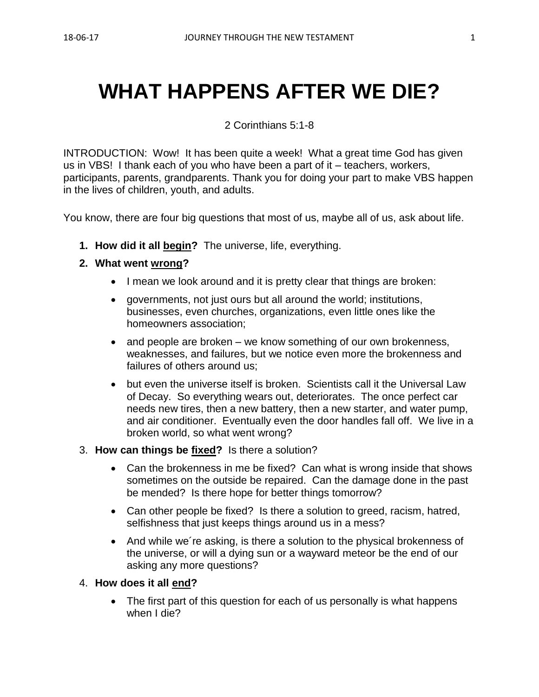# **WHAT HAPPENS AFTER WE DIE?**

2 Corinthians 5:1-8

INTRODUCTION: Wow! It has been quite a week! What a great time God has given us in VBS! I thank each of you who have been a part of it – teachers, workers, participants, parents, grandparents. Thank you for doing your part to make VBS happen in the lives of children, youth, and adults.

You know, there are four big questions that most of us, maybe all of us, ask about life.

**1. How did it all begin?** The universe, life, everything.

#### **2. What went wrong?**

- I mean we look around and it is pretty clear that things are broken:
- governments, not just ours but all around the world; institutions, businesses, even churches, organizations, even little ones like the homeowners association;
- and people are broken we know something of our own brokenness, weaknesses, and failures, but we notice even more the brokenness and failures of others around us;
- but even the universe itself is broken. Scientists call it the Universal Law of Decay. So everything wears out, deteriorates. The once perfect car needs new tires, then a new battery, then a new starter, and water pump, and air conditioner. Eventually even the door handles fall off. We live in a broken world, so what went wrong?
- 3. **How can things be fixed?** Is there a solution?
	- Can the brokenness in me be fixed? Can what is wrong inside that shows sometimes on the outside be repaired. Can the damage done in the past be mended? Is there hope for better things tomorrow?
	- Can other people be fixed? Is there a solution to greed, racism, hatred, selfishness that just keeps things around us in a mess?
	- And while we re asking, is there a solution to the physical brokenness of the universe, or will a dying sun or a wayward meteor be the end of our asking any more questions?

### 4. **How does it all end?**

• The first part of this question for each of us personally is what happens when I die?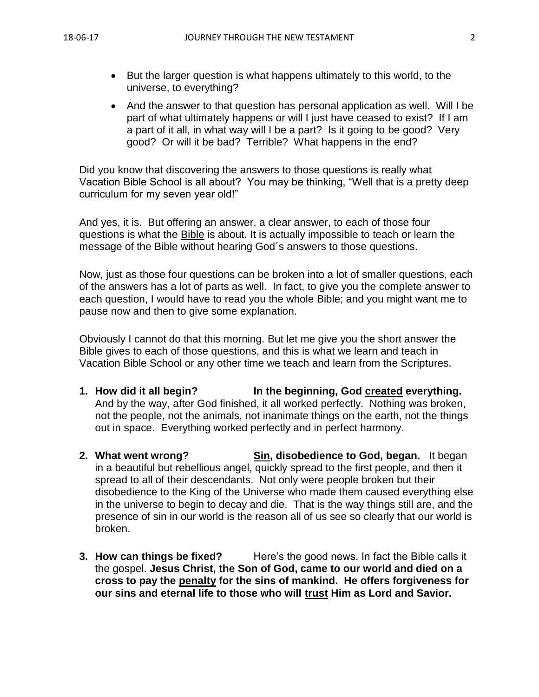- But the larger question is what happens ultimately to this world, to the universe, to everything?
- And the answer to that question has personal application as well. Will I be part of what ultimately happens or will I just have ceased to exist? If I am a part of it all, in what way will I be a part? Is it going to be good? Very good? Or will it be bad? Terrible? What happens in the end?

Did you know that discovering the answers to those questions is really what Vacation Bible School is all about? You may be thinking, "Well that is a pretty deep curriculum for my seven year old!"

And yes, it is. But offering an answer, a clear answer, to each of those four questions is what the Bible is about. It is actually impossible to teach or learn the message of the Bible without hearing God´s answers to those questions.

Now, just as those four questions can be broken into a lot of smaller questions, each of the answers has a lot of parts as well. In fact, to give you the complete answer to each question, I would have to read you the whole Bible; and you might want me to pause now and then to give some explanation.

Obviously I cannot do that this morning. But let me give you the short answer the Bible gives to each of those questions, and this is what we learn and teach in Vacation Bible School or any other time we teach and learn from the Scriptures.

- **1. How did it all begin? In the beginning, God created everything.**  And by the way, after God finished, it all worked perfectly. Nothing was broken, not the people, not the animals, not inanimate things on the earth, not the things out in space. Everything worked perfectly and in perfect harmony.
- **2. What went wrong? Sin, disobedience to God, began.** It began in a beautiful but rebellious angel, quickly spread to the first people, and then it spread to all of their descendants. Not only were people broken but their disobedience to the King of the Universe who made them caused everything else in the universe to begin to decay and die. That is the way things still are, and the presence of sin in our world is the reason all of us see so clearly that our world is broken.
- **3. How can things be fixed?** Here's the good news. In fact the Bible calls it the gospel. **Jesus Christ, the Son of God, came to our world and died on a cross to pay the penalty for the sins of mankind. He offers forgiveness for our sins and eternal life to those who will trust Him as Lord and Savior.**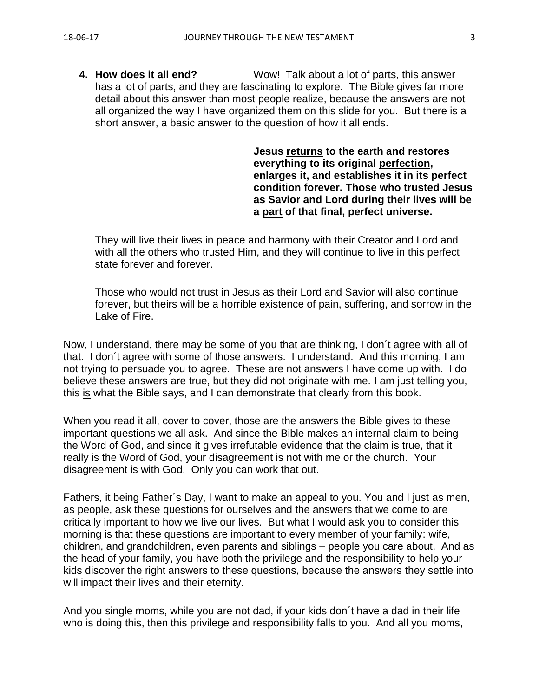**4. How does it all end?** Wow! Talk about a lot of parts, this answer has a lot of parts, and they are fascinating to explore. The Bible gives far more detail about this answer than most people realize, because the answers are not all organized the way I have organized them on this slide for you. But there is a short answer, a basic answer to the question of how it all ends.

> **Jesus returns to the earth and restores everything to its original perfection, enlarges it, and establishes it in its perfect condition forever. Those who trusted Jesus as Savior and Lord during their lives will be a part of that final, perfect universe.**

They will live their lives in peace and harmony with their Creator and Lord and with all the others who trusted Him, and they will continue to live in this perfect state forever and forever.

Those who would not trust in Jesus as their Lord and Savior will also continue forever, but theirs will be a horrible existence of pain, suffering, and sorrow in the Lake of Fire.

Now, I understand, there may be some of you that are thinking, I don´t agree with all of that. I don´t agree with some of those answers. I understand. And this morning, I am not trying to persuade you to agree. These are not answers I have come up with. I do believe these answers are true, but they did not originate with me. I am just telling you, this is what the Bible says, and I can demonstrate that clearly from this book.

When you read it all, cover to cover, those are the answers the Bible gives to these important questions we all ask. And since the Bible makes an internal claim to being the Word of God, and since it gives irrefutable evidence that the claim is true, that it really is the Word of God, your disagreement is not with me or the church. Your disagreement is with God. Only you can work that out.

Fathers, it being Father´s Day, I want to make an appeal to you. You and I just as men, as people, ask these questions for ourselves and the answers that we come to are critically important to how we live our lives. But what I would ask you to consider this morning is that these questions are important to every member of your family: wife, children, and grandchildren, even parents and siblings – people you care about. And as the head of your family, you have both the privilege and the responsibility to help your kids discover the right answers to these questions, because the answers they settle into will impact their lives and their eternity.

And you single moms, while you are not dad, if your kids don´t have a dad in their life who is doing this, then this privilege and responsibility falls to you. And all you moms,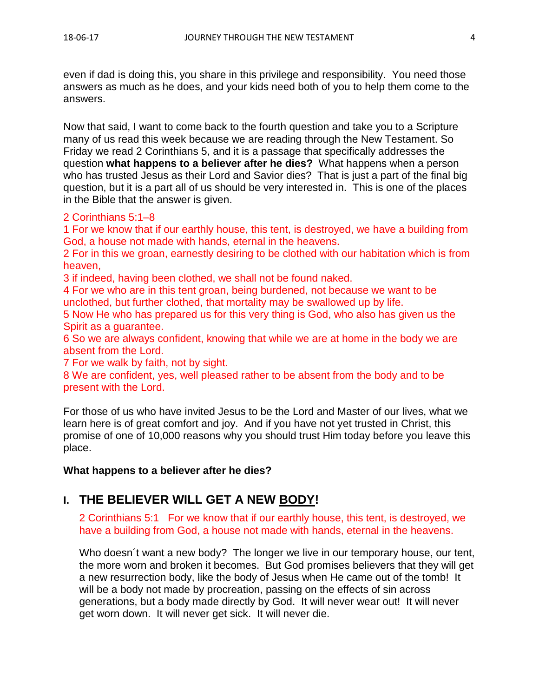even if dad is doing this, you share in this privilege and responsibility. You need those answers as much as he does, and your kids need both of you to help them come to the answers.

Now that said, I want to come back to the fourth question and take you to a Scripture many of us read this week because we are reading through the New Testament. So Friday we read 2 Corinthians 5, and it is a passage that specifically addresses the question **what happens to a believer after he dies?** What happens when a person who has trusted Jesus as their Lord and Savior dies? That is just a part of the final big question, but it is a part all of us should be very interested in. This is one of the places in the Bible that the answer is given.

#### 2 Corinthians 5:1–8

1 For we know that if our earthly house, this tent, is destroyed, we have a building from God, a house not made with hands, eternal in the heavens.

2 For in this we groan, earnestly desiring to be clothed with our habitation which is from heaven,

3 if indeed, having been clothed, we shall not be found naked.

4 For we who are in this tent groan, being burdened, not because we want to be unclothed, but further clothed, that mortality may be swallowed up by life.

5 Now He who has prepared us for this very thing is God, who also has given us the Spirit as a guarantee.

6 So we are always confident, knowing that while we are at home in the body we are absent from the Lord.

7 For we walk by faith, not by sight.

8 We are confident, yes, well pleased rather to be absent from the body and to be present with the Lord.

For those of us who have invited Jesus to be the Lord and Master of our lives, what we learn here is of great comfort and joy. And if you have not yet trusted in Christ, this promise of one of 10,000 reasons why you should trust Him today before you leave this place.

### **What happens to a believer after he dies?**

## **I. THE BELIEVER WILL GET A NEW BODY!**

2 Corinthians 5:1 For we know that if our earthly house, this tent, is destroyed, we have a building from God, a house not made with hands, eternal in the heavens.

Who doesn´t want a new body? The longer we live in our temporary house, our tent, the more worn and broken it becomes. But God promises believers that they will get a new resurrection body, like the body of Jesus when He came out of the tomb! It will be a body not made by procreation, passing on the effects of sin across generations, but a body made directly by God. It will never wear out! It will never get worn down. It will never get sick. It will never die.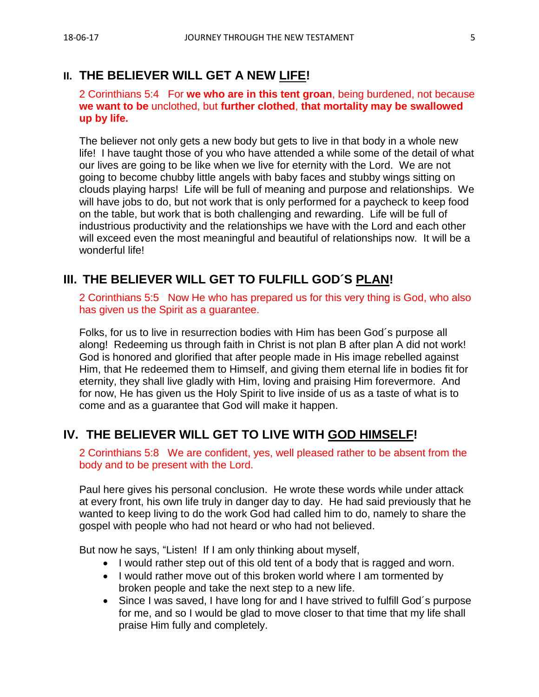## **II. THE BELIEVER WILL GET A NEW LIFE!**

2 Corinthians 5:4 For **we who are in this tent groan**, being burdened, not because **we want to be** unclothed, but **further clothed**, **that mortality may be swallowed up by life.**

The believer not only gets a new body but gets to live in that body in a whole new life! I have taught those of you who have attended a while some of the detail of what our lives are going to be like when we live for eternity with the Lord. We are not going to become chubby little angels with baby faces and stubby wings sitting on clouds playing harps! Life will be full of meaning and purpose and relationships. We will have jobs to do, but not work that is only performed for a paycheck to keep food on the table, but work that is both challenging and rewarding. Life will be full of industrious productivity and the relationships we have with the Lord and each other will exceed even the most meaningful and beautiful of relationships now. It will be a wonderful life!

## **III. THE BELIEVER WILL GET TO FULFILL GOD´S PLAN!**

2 Corinthians 5:5 Now He who has prepared us for this very thing is God, who also has given us the Spirit as a guarantee.

Folks, for us to live in resurrection bodies with Him has been God´s purpose all along! Redeeming us through faith in Christ is not plan B after plan A did not work! God is honored and glorified that after people made in His image rebelled against Him, that He redeemed them to Himself, and giving them eternal life in bodies fit for eternity, they shall live gladly with Him, loving and praising Him forevermore. And for now, He has given us the Holy Spirit to live inside of us as a taste of what is to come and as a guarantee that God will make it happen.

## **IV. THE BELIEVER WILL GET TO LIVE WITH GOD HIMSELF!**

2 Corinthians 5:8 We are confident, yes, well pleased rather to be absent from the body and to be present with the Lord.

Paul here gives his personal conclusion. He wrote these words while under attack at every front, his own life truly in danger day to day. He had said previously that he wanted to keep living to do the work God had called him to do, namely to share the gospel with people who had not heard or who had not believed.

But now he says, "Listen! If I am only thinking about myself,

- I would rather step out of this old tent of a body that is ragged and worn.
- I would rather move out of this broken world where I am tormented by broken people and take the next step to a new life.
- Since I was saved, I have long for and I have strived to fulfill God´s purpose for me, and so I would be glad to move closer to that time that my life shall praise Him fully and completely.